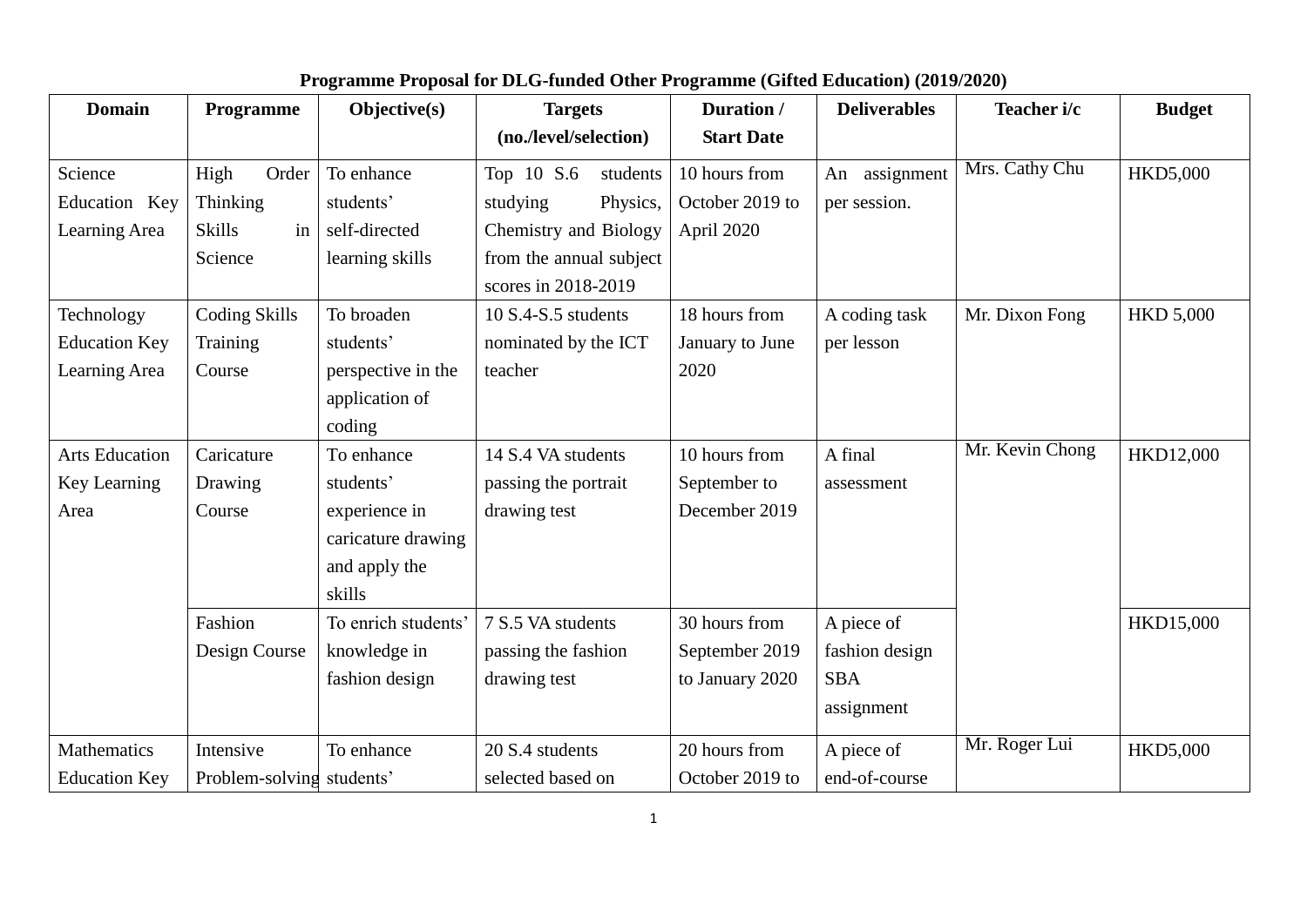| <b>Domain</b>         | Programme                 | Objective(s)        | <b>Targets</b>          | Duration /        | <b>Deliverables</b> | Teacher i/c     | <b>Budget</b>    |
|-----------------------|---------------------------|---------------------|-------------------------|-------------------|---------------------|-----------------|------------------|
|                       |                           |                     | (no./level/selection)   | <b>Start Date</b> |                     |                 |                  |
| Science               | Order<br>High             | To enhance          | Top 10 S.6<br>students  | 10 hours from     | assignment<br>An    | Mrs. Cathy Chu  | HKD5,000         |
| Education Key         | <b>Thinking</b>           | students'           | studying<br>Physics,    | October 2019 to   | per session.        |                 |                  |
| Learning Area         | <b>Skills</b><br>in       | self-directed       | Chemistry and Biology   | April 2020        |                     |                 |                  |
|                       | Science                   | learning skills     | from the annual subject |                   |                     |                 |                  |
|                       |                           |                     | scores in 2018-2019     |                   |                     |                 |                  |
| Technology            | <b>Coding Skills</b>      | To broaden          | $10 S.4-S.5$ students   | 18 hours from     | A coding task       | Mr. Dixon Fong  | <b>HKD 5,000</b> |
| <b>Education Key</b>  | Training                  | students'           | nominated by the ICT    | January to June   | per lesson          |                 |                  |
| Learning Area         | Course                    | perspective in the  | teacher                 | 2020              |                     |                 |                  |
|                       |                           | application of      |                         |                   |                     |                 |                  |
|                       |                           | coding              |                         |                   |                     |                 |                  |
| <b>Arts Education</b> | Caricature                | To enhance          | 14 S.4 VA students      | 10 hours from     | A final             | Mr. Kevin Chong | HKD12,000        |
| Key Learning          | Drawing                   | students'           | passing the portrait    | September to      | assessment          |                 |                  |
| Area                  | Course                    | experience in       | drawing test            | December 2019     |                     |                 |                  |
|                       |                           | caricature drawing  |                         |                   |                     |                 |                  |
|                       |                           | and apply the       |                         |                   |                     |                 |                  |
|                       |                           | skills              |                         |                   |                     |                 |                  |
|                       | Fashion                   | To enrich students' | 7 S.5 VA students       | 30 hours from     | A piece of          |                 | HKD15,000        |
|                       | Design Course             | knowledge in        | passing the fashion     | September 2019    | fashion design      |                 |                  |
|                       |                           | fashion design      | drawing test            | to January 2020   | <b>SBA</b>          |                 |                  |
|                       |                           |                     |                         |                   | assignment          |                 |                  |
| <b>Mathematics</b>    | Intensive                 | To enhance          | 20 S.4 students         | 20 hours from     | A piece of          | Mr. Roger Lui   | <b>HKD5,000</b>  |
| <b>Education Key</b>  | Problem-solving students' |                     | selected based on       | October 2019 to   | end-of-course       |                 |                  |

## **Programme Proposal for DLG-funded Other Programme (Gifted Education) (2019/2020)**